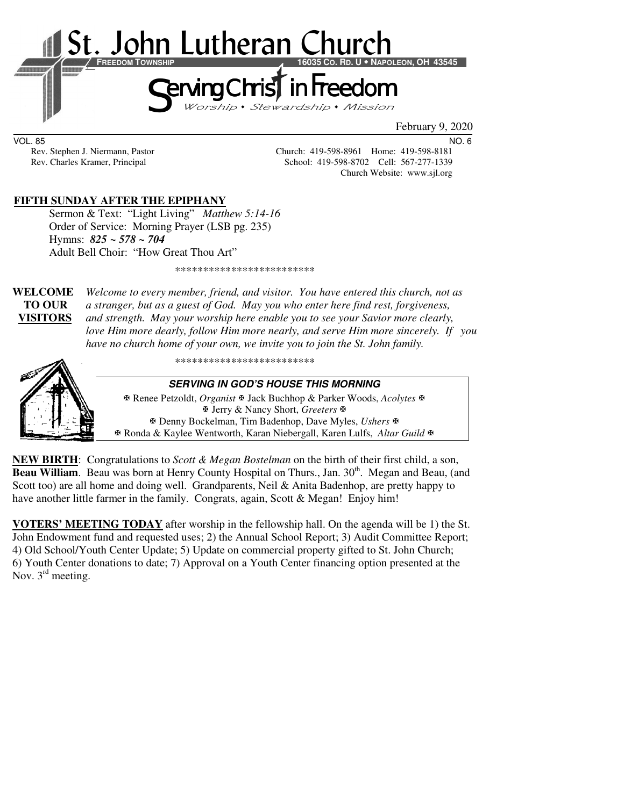

February 9, 2020

VOL. 85 NO. 6

Rev. Stephen J. Niermann, Pastor Church: 419-598-8961 Home: 419-598-8181<br>Rev. Charles Kramer, Principal School: 419-598-8702 Cell: 567-277-1339 School: 419-598-8702 Cell: 567-277-1339 Church Website: www.sjl.org

## **FIFTH SUNDAY AFTER THE EPIPHANY**

Sermon & Text: "Light Living" *Matthew 5:14-16*  Order of Service: Morning Prayer (LSB pg. 235) Hymns: *825 ~ 578 ~ 704* Adult Bell Choir: "How Great Thou Art"

\*\*\*\*\*\*\*\*\*\*\*\*\*\*\*\*\*\*\*\*\*\*\*\*\*

**WELCOME** *Welcome to every member, friend, and visitor. You have entered this church, not as* **TO OUR** *a stranger, but as a guest of God. May you who enter here find rest, forgiveness,* **VISITORS** *and strength. May your worship here enable you to see your Savior more clearly, love Him more dearly, follow Him more nearly, and serve Him more sincerely. If you have no church home of your own, we invite you to join the St. John family.* 

\*\*\*\*\*\*\*\*\*\*\*\*\*\*\*\*\*\*\*\*\*\*\*\*\*



**SERVING IN GOD'S HOUSE THIS MORNING** 

 Renee Petzoldt, *Organist* Jack Buchhop & Parker Woods, *Acolytes* Jerry & Nancy Short, *Greeters* Denny Bockelman, Tim Badenhop, Dave Myles, *Ushers* Ronda & Kaylee Wentworth, Karan Niebergall, Karen Lulfs, *Altar Guild*

**NEW BIRTH**: Congratulations to *Scott & Megan Bostelman* on the birth of their first child, a son, **Beau William.** Beau was born at Henry County Hospital on Thurs., Jan. 30<sup>th</sup>. Megan and Beau, (and Scott too) are all home and doing well. Grandparents, Neil & Anita Badenhop, are pretty happy to have another little farmer in the family. Congrats, again, Scott & Megan! Enjoy him!

**VOTERS' MEETING TODAY** after worship in the fellowship hall. On the agenda will be 1) the St. John Endowment fund and requested uses; 2) the Annual School Report; 3) Audit Committee Report; 4) Old School/Youth Center Update; 5) Update on commercial property gifted to St. John Church; 6) Youth Center donations to date; 7) Approval on a Youth Center financing option presented at the Nov. 3<sup>rd</sup> meeting.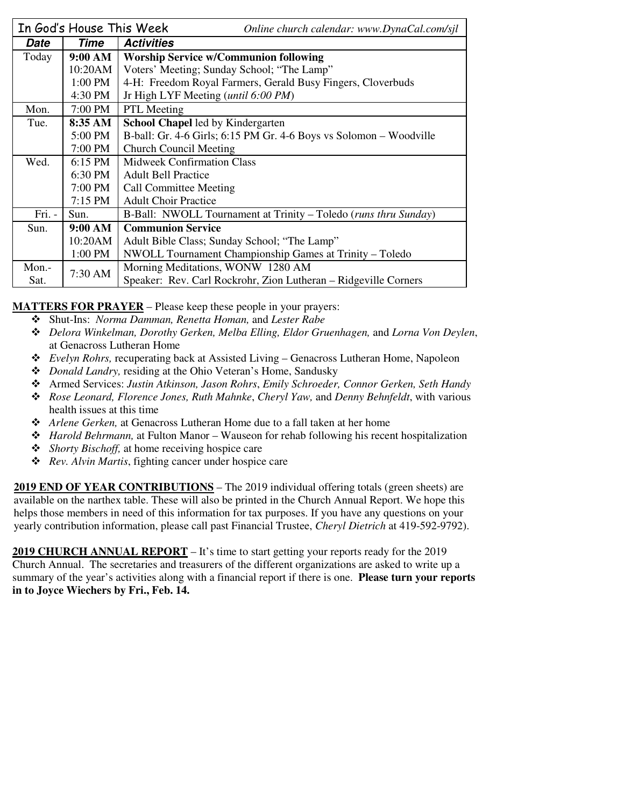|        | In God's House This Week | Online church calendar: www.DynaCal.com/sjl                        |  |  |
|--------|--------------------------|--------------------------------------------------------------------|--|--|
| Date   | Time                     | <b>Activities</b>                                                  |  |  |
| Today  | 9:00 AM                  | <b>Worship Service w/Communion following</b>                       |  |  |
|        | 10:20AM                  | Voters' Meeting; Sunday School; "The Lamp"                         |  |  |
|        | 1:00 PM                  | 4-H: Freedom Royal Farmers, Gerald Busy Fingers, Cloverbuds        |  |  |
|        | 4:30 PM                  | Jr High LYF Meeting ( <i>until</i> 6:00 PM)                        |  |  |
| Mon.   | 7:00 PM                  | <b>PTL</b> Meeting                                                 |  |  |
| Tue.   | 8:35 AM                  | School Chapel led by Kindergarten                                  |  |  |
|        | 5:00 PM                  | B-ball: Gr. 4-6 Girls; 6:15 PM Gr. 4-6 Boys vs Solomon – Woodville |  |  |
|        | 7:00 PM                  | <b>Church Council Meeting</b>                                      |  |  |
| Wed.   | $6:15$ PM                | <b>Midweek Confirmation Class</b>                                  |  |  |
|        | 6:30 PM                  | <b>Adult Bell Practice</b>                                         |  |  |
|        | 7:00 PM                  | <b>Call Committee Meeting</b>                                      |  |  |
|        | 7:15 PM                  | <b>Adult Choir Practice</b>                                        |  |  |
| Fri. - | Sun.                     | B-Ball: NWOLL Tournament at Trinity – Toledo (runs thru Sunday)    |  |  |
| Sun.   | 9:00 AM                  | <b>Communion Service</b>                                           |  |  |
|        | 10:20AM                  | Adult Bible Class; Sunday School; "The Lamp"                       |  |  |
|        | 1:00 PM                  | NWOLL Tournament Championship Games at Trinity - Toledo            |  |  |
| Mon.-  | 7:30 AM                  | Morning Meditations, WONW 1280 AM                                  |  |  |
| Sat.   |                          | Speaker: Rev. Carl Rockrohr, Zion Lutheran – Ridgeville Corners    |  |  |

**MATTERS FOR PRAYER** – Please keep these people in your prayers:

- Shut-Ins: *Norma Damman, Renetta Homan,* and *Lester Rabe*
- *Delora Winkelman, Dorothy Gerken, Melba Elling, Eldor Gruenhagen,* and *Lorna Von Deylen*, at Genacross Lutheran Home
- *Evelyn Rohrs,* recuperating back at Assisted Living Genacross Lutheran Home, Napoleon
- *Donald Landry,* residing at the Ohio Veteran's Home, Sandusky
- Armed Services: *Justin Atkinson, Jason Rohrs*, *Emily Schroeder, Connor Gerken, Seth Handy*
- *Rose Leonard, Florence Jones, Ruth Mahnke*, *Cheryl Yaw,* and *Denny Behnfeldt*, with various health issues at this time
- *Arlene Gerken,* at Genacross Lutheran Home due to a fall taken at her home
- *Harold Behrmann,* at Fulton Manor Wauseon for rehab following his recent hospitalization
- *Shorty Bischoff,* at home receiving hospice care
- *Rev. Alvin Martis*, fighting cancer under hospice care

**2019 END OF YEAR CONTRIBUTIONS** – The 2019 individual offering totals (green sheets) are available on the narthex table. These will also be printed in the Church Annual Report. We hope this helps those members in need of this information for tax purposes. If you have any questions on your yearly contribution information, please call past Financial Trustee, *Cheryl Dietrich* at 419-592-9792).

**2019 CHURCH ANNUAL REPORT** – It's time to start getting your reports ready for the 2019 Church Annual. The secretaries and treasurers of the different organizations are asked to write up a summary of the year's activities along with a financial report if there is one. **Please turn your reports in to Joyce Wiechers by Fri., Feb. 14.**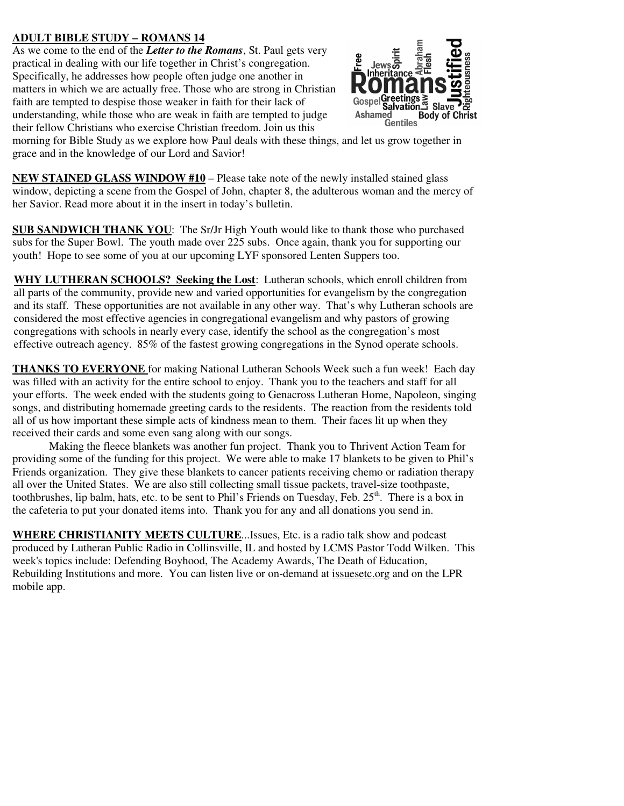# **ADULT BIBLE STUDY – ROMANS 14**

As we come to the end of the *Letter to the Romans*, St. Paul gets very practical in dealing with our life together in Christ's congregation. Specifically, he addresses how people often judge one another in matters in which we are actually free. Those who are strong in Christian faith are tempted to despise those weaker in faith for their lack of understanding, while those who are weak in faith are tempted to judge their fellow Christians who exercise Christian freedom. Join us this



morning for Bible Study as we explore how Paul deals with these things, and let us grow together in grace and in the knowledge of our Lord and Savior!

**NEW STAINED GLASS WINDOW #10** – Please take note of the newly installed stained glass window, depicting a scene from the Gospel of John, chapter 8, the adulterous woman and the mercy of her Savior. Read more about it in the insert in today's bulletin.

**SUB SANDWICH THANK YOU**: The Sr/Jr High Youth would like to thank those who purchased subs for the Super Bowl. The youth made over 225 subs. Once again, thank you for supporting our youth! Hope to see some of you at our upcoming LYF sponsored Lenten Suppers too.

**WHY LUTHERAN SCHOOLS? Seeking the Lost**: Lutheran schools, which enroll children from all parts of the community, provide new and varied opportunities for evangelism by the congregation and its staff. These opportunities are not available in any other way. That's why Lutheran schools are considered the most effective agencies in congregational evangelism and why pastors of growing congregations with schools in nearly every case, identify the school as the congregation's most effective outreach agency. 85% of the fastest growing congregations in the Synod operate schools.

**THANKS TO EVERYONE** for making National Lutheran Schools Week such a fun week! Each day was filled with an activity for the entire school to enjoy. Thank you to the teachers and staff for all your efforts. The week ended with the students going to Genacross Lutheran Home, Napoleon, singing songs, and distributing homemade greeting cards to the residents. The reaction from the residents told all of us how important these simple acts of kindness mean to them. Their faces lit up when they received their cards and some even sang along with our songs.

 Making the fleece blankets was another fun project. Thank you to Thrivent Action Team for providing some of the funding for this project. We were able to make 17 blankets to be given to Phil's Friends organization. They give these blankets to cancer patients receiving chemo or radiation therapy all over the United States. We are also still collecting small tissue packets, travel-size toothpaste, toothbrushes, lip balm, hats, etc. to be sent to Phil's Friends on Tuesday, Feb.  $25<sup>th</sup>$ . There is a box in the cafeteria to put your donated items into. Thank you for any and all donations you send in.

**WHERE CHRISTIANITY MEETS CULTURE**...Issues, Etc. is a radio talk show and podcast produced by Lutheran Public Radio in Collinsville, IL and hosted by LCMS Pastor Todd Wilken. This week's topics include: Defending Boyhood, The Academy Awards, The Death of Education, Rebuilding Institutions and more. You can listen live or on-demand at issuesetc.org and on the LPR mobile app.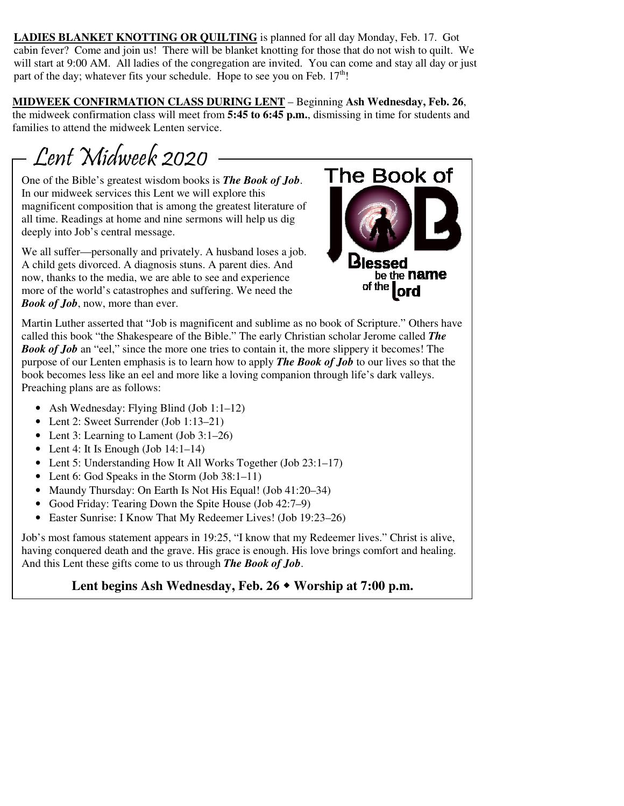**LADIES BLANKET KNOTTING OR QUILTING** is planned for all day Monday, Feb. 17. Got cabin fever? Come and join us! There will be blanket knotting for those that do not wish to quilt. We will start at 9:00 AM. All ladies of the congregation are invited. You can come and stay all day or just part of the day; whatever fits your schedule. Hope to see you on Feb.  $17<sup>th</sup>$ !

**MIDWEEK CONFIRMATION CLASS DURING LENT** – Beginning **Ash Wednesday, Feb. 26**, the midweek confirmation class will meet from **5:45 to 6:45 p.m.**, dismissing in time for students and families to attend the midweek Lenten service.

Lent Midweek 2020

One of the Bible's greatest wisdom books is *The Book of Job*. In our midweek services this Lent we will explore this magnificent composition that is among the greatest literature of all time. Readings at home and nine sermons will help us dig deeply into Job's central message.

We all suffer—personally and privately. A husband loses a job. A child gets divorced. A diagnosis stuns. A parent dies. And now, thanks to the media, we are able to see and experience more of the world's catastrophes and suffering. We need the *Book of Job*, now, more than ever.



Martin Luther asserted that "Job is magnificent and sublime as no book of Scripture." Others have called this book "the Shakespeare of the Bible." The early Christian scholar Jerome called *The Book of Job* an "eel," since the more one tries to contain it, the more slippery it becomes! The purpose of our Lenten emphasis is to learn how to apply *The Book of Job* to our lives so that the book becomes less like an eel and more like a loving companion through life's dark valleys. Preaching plans are as follows:

- Ash Wednesday: Flying Blind (Job 1:1–12)
- Lent 2: Sweet Surrender (Job 1:13–21)
- Lent 3: Learning to Lament (Job 3:1–26)
- Lent 4: It Is Enough (Job  $14:1-14$ )
- Lent 5: Understanding How It All Works Together (Job 23:1–17)
- Lent 6: God Speaks in the Storm (Job 38:1–11)
- Maundy Thursday: On Earth Is Not His Equal! (Job 41:20–34)
- Good Friday: Tearing Down the Spite House (Job 42:7–9)
- Easter Sunrise: I Know That My Redeemer Lives! (Job 19:23–26)

Job's most famous statement appears in 19:25, "I know that my Redeemer lives." Christ is alive, having conquered death and the grave. His grace is enough. His love brings comfort and healing. And this Lent these gifts come to us through *The Book of Job*.

Lent begins Ash Wednesday, Feb. 26  $\bullet$  Worship at 7:00 p.m.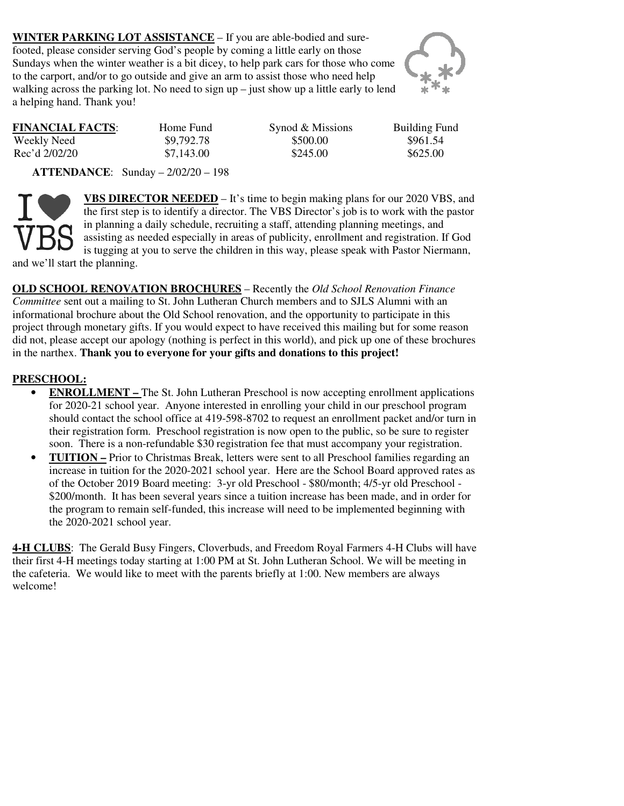**WINTER PARKING LOT ASSISTANCE** – If you are able-bodied and surefooted, please consider serving God's people by coming a little early on those Sundays when the winter weather is a bit dicey, to help park cars for those who come to the carport, and/or to go outside and give an arm to assist those who need help walking across the parking lot. No need to sign  $up$  – just show up a little early to lend a helping hand. Thank you!



| <b>FINANCIAL FACTS:</b> | Home Fund  | Synod & Missions | <b>Building Fund</b> |
|-------------------------|------------|------------------|----------------------|
| Weekly Need             | \$9,792.78 | \$500.00         | \$961.54             |
| Rec'd 2/02/20           | \$7,143.00 | \$245.00         | \$625.00             |

 **ATTENDANCE**: Sunday – 2/02/20 – 198



**VBS DIRECTOR NEEDED** – It's time to begin making plans for our 2020 VBS, and the first step is to identify a director. The VBS Director's job is to work with the pastor in planning a daily schedule, recruiting a staff, attending planning meetings, and assisting as needed especially in areas of publicity, enrollment and registration. If God is tugging at you to serve the children in this way, please speak with Pastor Niermann, and we'll start the planning.

**OLD SCHOOL RENOVATION BROCHURES** – Recently the *Old School Renovation Finance Committee* sent out a mailing to St. John Lutheran Church members and to SJLS Alumni with an informational brochure about the Old School renovation, and the opportunity to participate in this project through monetary gifts. If you would expect to have received this mailing but for some reason did not, please accept our apology (nothing is perfect in this world), and pick up one of these brochures in the narthex. **Thank you to everyone for your gifts and donations to this project!** 

### **PRESCHOOL:**

- **ENROLLMENT** The St. John Lutheran Preschool is now accepting enrollment applications for 2020-21 school year. Anyone interested in enrolling your child in our preschool program should contact the school office at 419-598-8702 to request an enrollment packet and/or turn in their registration form. Preschool registration is now open to the public, so be sure to register soon. There is a non-refundable \$30 registration fee that must accompany your registration.
- **TUITION** Prior to Christmas Break, letters were sent to all Preschool families regarding an increase in tuition for the 2020-2021 school year. Here are the School Board approved rates as of the October 2019 Board meeting: 3-yr old Preschool - \$80/month; 4/5-yr old Preschool - \$200/month. It has been several years since a tuition increase has been made, and in order for the program to remain self-funded, this increase will need to be implemented beginning with the 2020-2021 school year.

**4-H CLUBS**: The Gerald Busy Fingers, Cloverbuds, and Freedom Royal Farmers 4-H Clubs will have their first 4-H meetings today starting at 1:00 PM at St. John Lutheran School. We will be meeting in the cafeteria. We would like to meet with the parents briefly at 1:00. New members are always welcome!